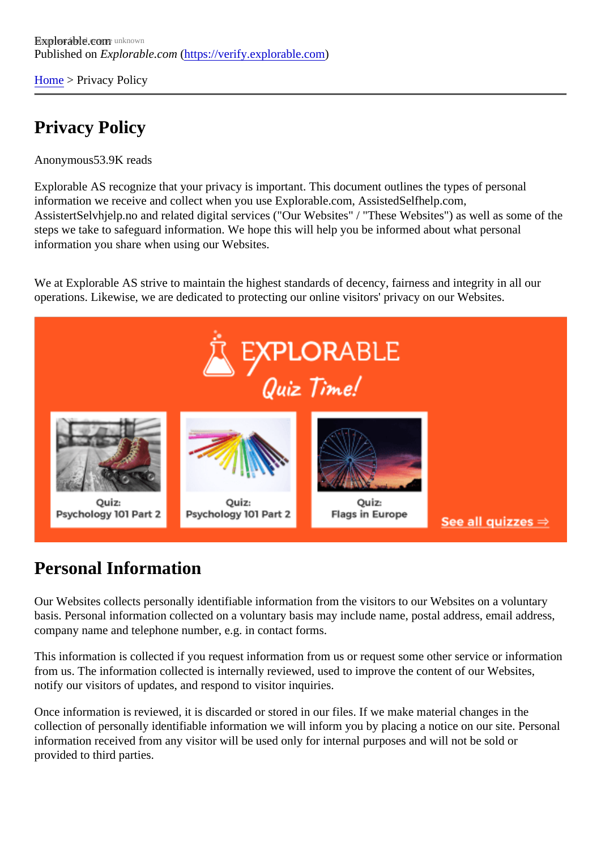[Home](https://verify.explorable.com/)> Privacy Policy

## Privacy Policy

Anonymous53.9K reads

Explorable AS recognize that your privacy is important. This document outlines the types of personal information we receive and collect when you use Explorable.com, AssistedSelfhelp.com, AssistertSelvhjelp.no and related digital services ("Our Websites" / "These Websites") as well as some of the steps we take to safeguard information. We hope this will help you be informed about what personal information you share when using our Websites.

We at Explorable AS strive to maintain the highest standards of decency, fairness and integrity in all our operations. Likewise, we are dedicated to protecting our online visitors' privacy on our Websites.

#### Personal Information

Our Websites collects personally identifiable information from the visitors to our Websites on a voluntary basis. Personal information collected on a voluntary basis may include name, postal address, email addre company name and telephone number, e.g. in contact forms.

This information is collected if you request information from us or request some other service or information from us. The information collected is internally reviewed, used to improve the content of our Websites, notify our visitors of updates, and respond to visitor inquiries.

Once information is reviewed, it is discarded or stored in our files. If we make material changes in the collection of personally identifiable information we will inform you by placing a notice on our site. Personal information received from any visitor will be used only for internal purposes and will not be sold or provided to third parties.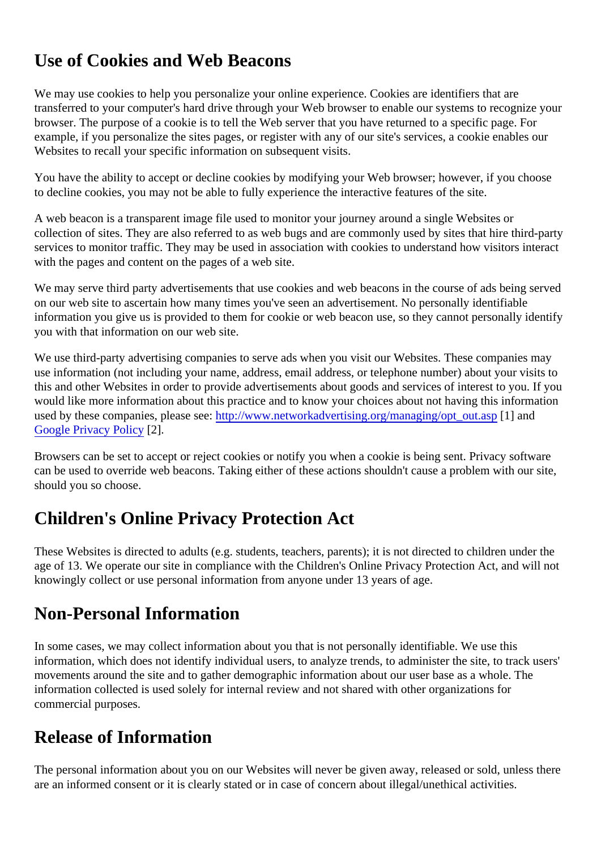## Use of Cookies and Web Beacons

We may use cookies to help you personalize your online experience. Cookies are identifiers that are transferred to your computer's hard drive through your Web browser to enable our systems to recognize y browser. The purpose of a cookie is to tell the Web server that you have returned to a specific page. For example, if you personalize the sites pages, or register with any of our site's services, a cookie enables our Websites to recall your specific information on subsequent visits.

You have the ability to accept or decline cookies by modifying your Web browser; however, if you choose to decline cookies, you may not be able to fully experience the interactive features of the site.

A web beacon is a transparent image file used to monitor your journey around a single Websites or collection of sites. They are also referred to as web bugs and are commonly used by sites that hire third-party services to monitor traffic. They may be used in association with cookies to understand how visitors intera with the pages and content on the pages of a web site.

We may serve third party advertisements that use cookies and web beacons in the course of ads being se on our web site to ascertain how many times you've seen an advertisement. No personally identifiable information you give us is provided to them for cookie or web beacon use, so they cannot personally ident you with that information on our web site.

We use third-party advertising companies to serve ads when you visit our Websites. These companies may use information (not including your name, address, email address, or telephone number) about your visits this and other Websites in order to provide advertisements about goods and services of interest to you. If you would like more information about this practice and to know your choices about not having this information used by these companies, please stee://www.networkadvertising.org/managing/opt\_out.http://www.networkadvertising.org/managing/opt\_out.http://www.networkadvertising.org/managing/opt\_out.http:// [Google Privacy Polic](http://www.google.com/policies/privacy/ads/)<sup>[2]</sup>.

Browsers can be set to accept or reject cookies or notify you when a cookie is being sent. Privacy software can be used to override web beacons. Taking either of these actions shouldn't cause a problem with our site, should you so choose.

## Children's Online Privacy Protection Act

These Websites is directed to adults (e.g. students, teachers, parents); it is not directed to children under t age of 13. We operate our site in compliance with the Children's Online Privacy Protection Act, and will no knowingly collect or use personal information from anyone under 13 years of age.

### Non-Personal Information

In some cases, we may collect information about you that is not personally identifiable. We use this information, which does not identify individual users, to analyze trends, to administer the site, to track user movements around the site and to gather demographic information about our user base as a whole. The information collected is used solely for internal review and not shared with other organizations for commercial purposes.

### Release of Information

The personal information about you on our Websites will never be given away, released or sold, unless the are an informed consent or it is clearly stated or in case of concern about illegal/unethical activities.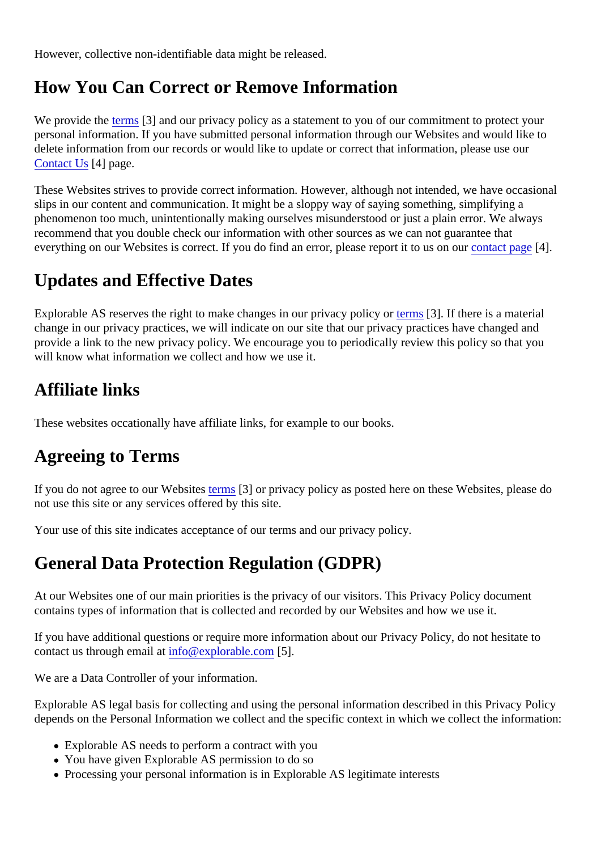However, collective non-identifiable data might be released.

## How You Can Correct or Remove Information

We provide the erms<sup>[3]</sup> and our privacy policy as a statement to you of our commitment to protect your personal information. If you have submitted personal information through our Websites and would like to delete information from our records or would like to update or correct that information, please use our [Contact Us](https://verify.explorable.com/site-contact)<sup>4</sup>l page.

These Websites strives to provide correct information. However, although not intended, we have occasion slips in our content and communication. It might be a sloppy way of saying something, simplifying a phenomenon too much, unintentionally making ourselves misunderstood or just a plain error. We always recommend that you double check our information with other sources as we can not guarantee that everything on our Websites is correct. If you do find an error, please report it to uscomtant page4].

## Updates and Effective Dates

Explorable AS reserves the right to make changes in our privacy po[licy or](https://verify.explorable.com/terms-and-conditions) [3]. If there is a material change in our privacy practices, we will indicate on our site that our privacy practices have changed and provide a link to the new privacy policy. We encourage you to periodically review this policy so that you will know what information we collect and how we use it.

# Affiliate links

These websites occationally have affiliate links, for example to our books.

# Agreeing to Terms

If you do not agree to our Websites ms<sup>[3]</sup> or privacy policy as posted here on these Websites, please do not use this site or any services offered by this site.

Your use of this site indicates acceptance of our terms and our privacy policy.

# General Data Protection Regulation (GDPR)

At our Websites one of our main priorities is the privacy of our visitors. This Privacy Policy document contains types of information that is collected and recorded by our Websites and how we use it.

If you have additional questions or require more information about our Privacy Policy, do not hesitate to contact us through email at  $\omega$  explorable.com 5].

We are a Data Controller of your information.

Explorable AS legal basis for collecting and using the personal information described in this Privacy Policy depends on the Personal Information we collect and the specific context in which we collect the informatio

- Explorable AS needs to perform a contract with you
- You have given Explorable AS permission to do so
- Processing your personal information is in Explorable AS legitimate interests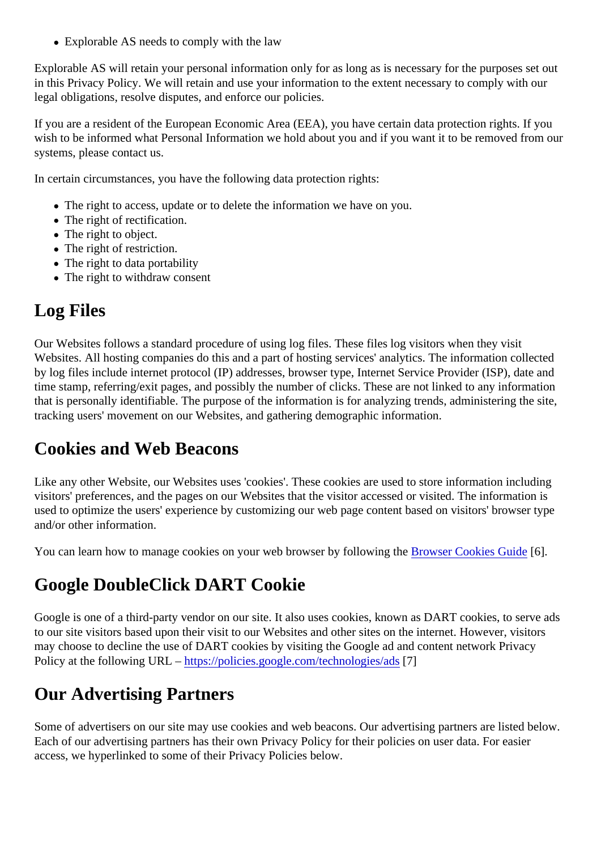Explorable AS needs to comply with the law

Explorable AS will retain your personal information only for as long as is necessary for the purposes set or in this Privacy Policy. We will retain and use your information to the extent necessary to comply with our legal obligations, resolve disputes, and enforce our policies.

If you are a resident of the European Economic Area (EEA), you have certain data protection rights. If you wish to be informed what Personal Information we hold about you and if you want it to be removed from our systems, please contact us.

In certain circumstances, you have the following data protection rights:

- The right to access, update or to delete the information we have on you.
- The right of rectification.
- The right to object.
- The right of restriction.
- The right to data portability
- The right to withdraw consent

## Log Files

Our Websites follows a standard procedure of using log files. These files log visitors when they visit Websites. All hosting companies do this and a part of hosting services' analytics. The information collected by log files include internet protocol (IP) addresses, browser type, Internet Service Provider (ISP), date an time stamp, referring/exit pages, and possibly the number of clicks. These are not linked to any information that is personally identifiable. The purpose of the information is for analyzing trends, administering the site tracking users' movement on our Websites, and gathering demographic information.

### Cookies and Web Beacons

Like any other Website, our Websites uses 'cookies'. These cookies are used to store information including visitors' preferences, and the pages on our Websites that the visitor accessed or visited. The information is used to optimize the users' experience by customizing our web page content based on visitors' browser ty and/or other information.

You can learn how to manage cookies on your web browser by following the Brookies Guide].

### Google DoubleClick DART Cookie

Google is one of a third-party vendor on our site. It also uses cookies, known as DART cookies, to serve additional to our site visitors based upon their visit to our Websites and other sites on the internet. However, visitors may choose to decline the use of DART cookies by visiting the Google ad and content network Privacy Policy at the following URL -https://policies.google.com/technologies/ads

## Our Advertising Partners

Some of advertisers on our site may use cookies and web beacons. Our advertising partners are listed be Each of our advertising partners has their own Privacy Policy for their policies on user data. For easier access, we hyperlinked to some of their Privacy Policies below.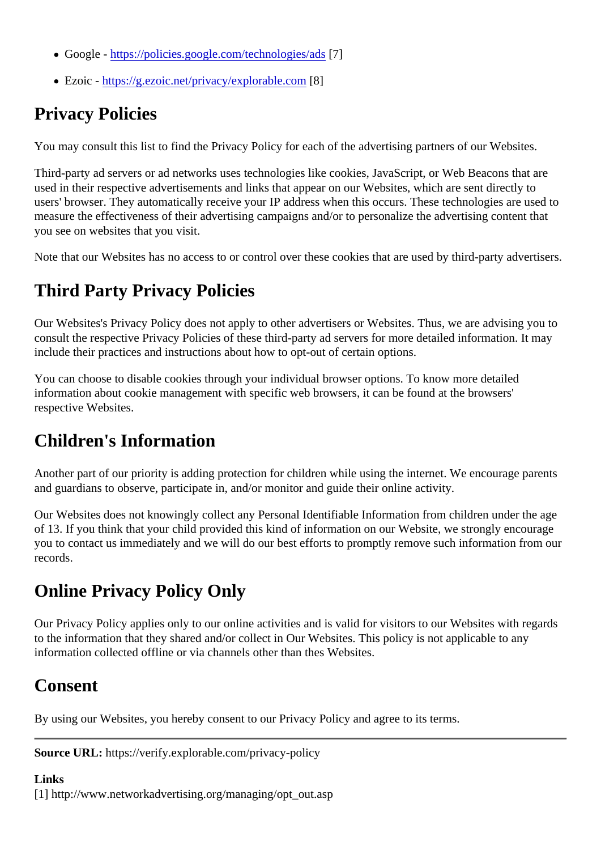- Google -https://policies.google.com/technologies/ads
- Ezoic - [https://g.ezoic.net/privacy/explorable.c](https://g.ezoic.net/privacy/explorable.com)om

# Privacy Policies

You may consult this list to find the Privacy Policy for each of the advertising partners of our Websites.

Third-party ad servers or ad networks uses technologies like cookies, JavaScript, or Web Beacons that are used in their respective advertisements and links that appear on our Websites, which are sent directly to users' browser. They automatically receive your IP address when this occurs. These technologies are use measure the effectiveness of their advertising campaigns and/or to personalize the advertising content that you see on websites that you visit.

Note that our Websites has no access to or control over these cookies that are used by third-party advertis.

# Third Party Privacy Policies

Our Websites's Privacy Policy does not apply to other advertisers or Websites. Thus, we are advising you consult the respective Privacy Policies of these third-party ad servers for more detailed information. It may include their practices and instructions about how to opt-out of certain options.

You can choose to disable cookies through your individual browser options. To know more detailed information about cookie management with specific web browsers, it can be found at the browsers' respective Websites.

### Children's Information

Another part of our priority is adding protection for children while using the internet. We encourage parents and guardians to observe, participate in, and/or monitor and guide their online activity.

Our Websites does not knowingly collect any Personal Identifiable Information from children under the age of 13. If you think that your child provided this kind of information on our Website, we strongly encourage you to contact us immediately and we will do our best efforts to promptly remove such information from our records.

## Online Privacy Policy Only

Our Privacy Policy applies only to our online activities and is valid for visitors to our Websites with regards to the information that they shared and/or collect in Our Websites. This policy is not applicable to any information collected offline or via channels other than thes Websites.

### Consent

By using our Websites, you hereby consent to our Privacy Policy and agree to its terms.

Source URL: https://verify.explorable.com/privacy-policy

Links [1] http://www.networkadvertising.org/managing/opt\_out.asp